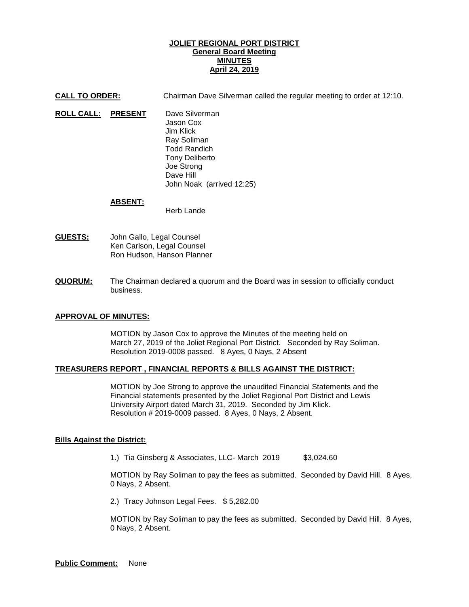# **JOLIET REGIONAL PORT DISTRICT General Board Meeting MINUTES April 24, 2019**

**CALL TO ORDER:** Chairman Dave Silverman called the regular meeting to order at 12:10.

**ROLL CALL: PRESENT** Dave Silverman Jason Cox Jim Klick Ray Soliman Todd Randich Tony Deliberto Joe Strong Dave Hill John Noak (arrived 12:25)

#### **ABSENT:**

Herb Lande

- **GUESTS:** John Gallo, Legal Counsel Ken Carlson, Legal Counsel Ron Hudson, Hanson Planner
- **QUORUM:** The Chairman declared a quorum and the Board was in session to officially conduct business.

# **APPROVAL OF MINUTES:**

MOTION by Jason Cox to approve the Minutes of the meeting held on March 27, 2019 of the Joliet Regional Port District. Seconded by Ray Soliman. Resolution 2019-0008 passed. 8 Ayes, 0 Nays, 2 Absent

# **TREASURERS REPORT , FINANCIAL REPORTS & BILLS AGAINST THE DISTRICT:**

MOTION by Joe Strong to approve the unaudited Financial Statements and the Financial statements presented by the Joliet Regional Port District and Lewis University Airport dated March 31, 2019. Seconded by Jim Klick. Resolution # 2019-0009 passed. 8 Ayes, 0 Nays, 2 Absent.

# **Bills Against the District:**

1.) Tia Ginsberg & Associates, LLC- March 2019 \$3,024.60

MOTION by Ray Soliman to pay the fees as submitted. Seconded by David Hill. 8 Ayes, 0 Nays, 2 Absent.

2.) Tracy Johnson Legal Fees. \$ 5,282.00

MOTION by Ray Soliman to pay the fees as submitted. Seconded by David Hill. 8 Ayes, 0 Nays, 2 Absent.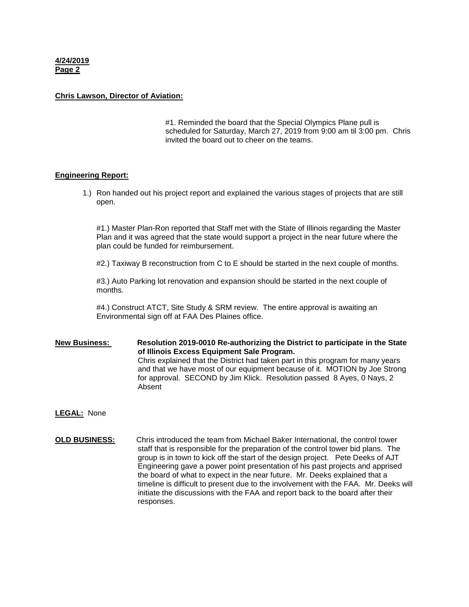**4/24/2019 Page 2**

#### **Chris Lawson, Director of Aviation:**

#1. Reminded the board that the Special Olympics Plane pull is scheduled for Saturday, March 27, 2019 from 9:00 am til 3:00 pm. Chris invited the board out to cheer on the teams.

#### **Engineering Report:**

1.) Ron handed out his project report and explained the various stages of projects that are still open.

#1.) Master Plan-Ron reported that Staff met with the State of Illinois regarding the Master Plan and it was agreed that the state would support a project in the near future where the plan could be funded for reimbursement.

#2.) Taxiway B reconstruction from C to E should be started in the next couple of months.

#3.) Auto Parking lot renovation and expansion should be started in the next couple of months.

#4.) Construct ATCT, Site Study & SRM review. The entire approval is awaiting an Environmental sign off at FAA Des Plaines office.

**New Business: Resolution 2019-0010 Re-authorizing the District to participate in the State of Illinois Excess Equipment Sale Program.**  Chris explained that the District had taken part in this program for many years and that we have most of our equipment because of it. MOTION by Joe Strong for approval. SECOND by Jim Klick. Resolution passed 8 Ayes, 0 Nays, 2 Absent

**LEGAL:** None

**OLD BUSINESS:** Chris introduced the team from Michael Baker International, the control tower staff that is responsible for the preparation of the control tower bid plans. The group is in town to kick off the start of the design project. Pete Deeks of AJT Engineering gave a power point presentation of his past projects and apprised the board of what to expect in the near future. Mr. Deeks explained that a timeline is difficult to present due to the involvement with the FAA. Mr. Deeks will initiate the discussions with the FAA and report back to the board after their responses.